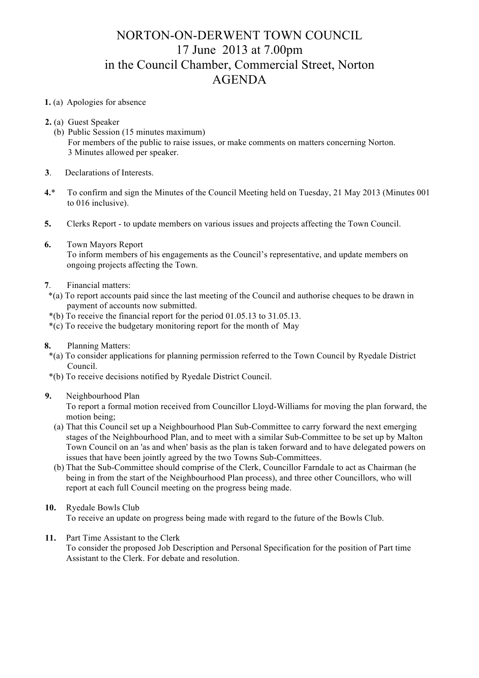## NORTON-ON-DERWENT TOWN COUNCIL 17 June 2013 at 7.00pm in the Council Chamber, Commercial Street, Norton AGENDA

## **1.** (a) Apologies for absence

- **2.** (a) Guest Speaker
	- (b) Public Session (15 minutes maximum) For members of the public to raise issues, or make comments on matters concerning Norton. 3 Minutes allowed per speaker.
- **3**. Declarations of Interests.
- **4.**\* To confirm and sign the Minutes of the Council Meeting held on Tuesday, 21 May 2013 (Minutes 001 to 016 inclusive).
- **5.** Clerks Report to update members on various issues and projects affecting the Town Council.
- **6.** Town Mayors Report To inform members of his engagements as the Council's representative, and update members on ongoing projects affecting the Town.
- **7**. Financial matters:
- \*(a) To report accounts paid since the last meeting of the Council and authorise cheques to be drawn in payment of accounts now submitted.
- $*(b)$  To receive the financial report for the period 01.05.13 to 31.05.13.
- \*(c) To receive the budgetary monitoring report for the month of May
- **8.** Planning Matters:
- \*(a) To consider applications for planning permission referred to the Town Council by Ryedale District Council.
- \*(b) To receive decisions notified by Ryedale District Council.

## **9.** Neighbourhood Plan

To report a formal motion received from Councillor Lloyd-Williams for moving the plan forward, the motion being;

- (a) That this Council set up a Neighbourhood Plan Sub-Committee to carry forward the next emerging stages of the Neighbourhood Plan, and to meet with a similar Sub-Committee to be set up by Malton Town Council on an 'as and when' basis as the plan is taken forward and to have delegated powers on issues that have been jointly agreed by the two Towns Sub-Committees.
- (b) That the Sub-Committee should comprise of the Clerk, Councillor Farndale to act as Chairman (he being in from the start of the Neighbourhood Plan process), and three other Councillors, who will report at each full Council meeting on the progress being made.
- **10.** Ryedale Bowls Club To receive an update on progress being made with regard to the future of the Bowls Club.
- **11.** Part Time Assistant to the Clerk To consider the proposed Job Description and Personal Specification for the position of Part time Assistant to the Clerk. For debate and resolution.